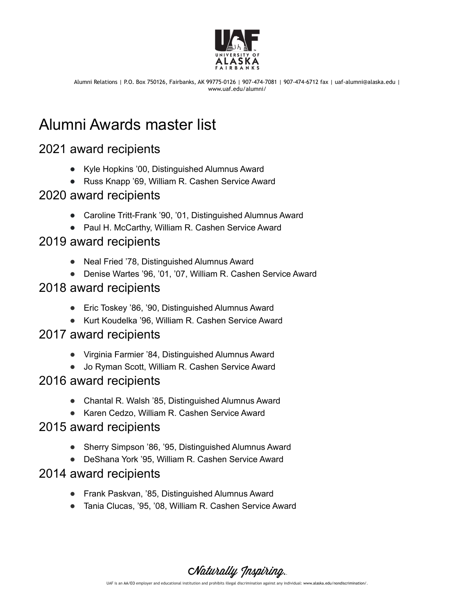

Alumni Relations | P.O. Box 750126, Fairbanks, AK 99775-0126 | 907-474-7081 | 907-474-6712 fax | uaf-alumni@alaska.edu | www.uaf.edu/alumni/

# Alumni Awards master list

# 2021 award recipients

- Kyle Hopkins '00, Distinguished Alumnus Award
- Russ Knapp '69, William R. Cashen Service Award

## 2020 award recipients

- Caroline Tritt-Frank '90, '01, Distinguished Alumnus Award
- Paul H. McCarthy, William R. Cashen Service Award

#### 2019 award recipients

- Neal Fried '78, Distinguished Alumnus Award
- Denise Wartes '96, '01, '07, William R. Cashen Service Award

# 2018 award recipients

- Eric Toskey '86, '90, Distinguished Alumnus Award
- Kurt Koudelka '96, William R. Cashen Service Award

#### 2017 award recipients

- Virginia Farmier '84, Distinguished Alumnus Award
- Jo Ryman Scott, William R. Cashen Service Award

## 2016 award recipients

- Chantal R. Walsh '85, Distinguished Alumnus Award
- Karen Cedzo, William R. Cashen Service Award

## 2015 award recipients

- Sherry Simpson '86, '95, Distinguished Alumnus Award
- DeShana York '95, William R. Cashen Service Award

## 2014 award recipients

- Frank Paskvan, '85, Distinguished Alumnus Award
- Tania Clucas, '95, '08, William R. Cashen Service Award

Naturally Inspiring. UAF is an AA/EO employer and educational institution and prohibits illegal discrimination against any individual: [www.alaska.edu/nondiscrimination/.](http://www.alaska.edu/nondiscrimination/)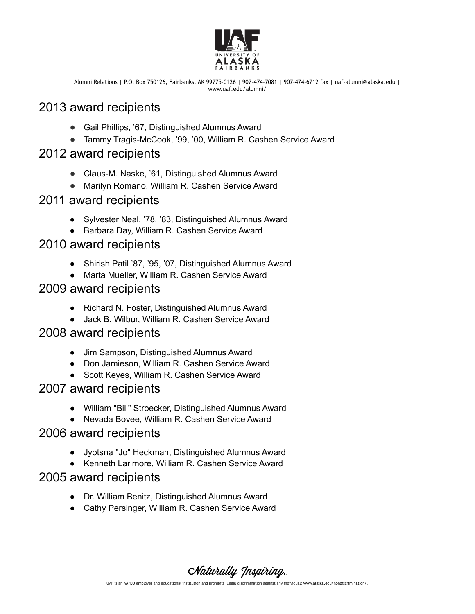

Alumni Relations | P.O. Box 750126, Fairbanks, AK 99775-0126 | 907-474-7081 | 907-474-6712 fax | uaf-alumni@alaska.edu | www.uaf.edu/alumni/

# 2013 award recipients

- Gail Phillips, '67, Distinguished Alumnus Award
- Tammy Tragis-McCook, '99, '00, William R. Cashen Service Award

## 2012 award recipients

- Claus-M. Naske, '61, Distinguished Alumnus Award
- Marilyn Romano, William R. Cashen Service Award

#### 2011 award recipients

- Sylvester Neal, '78, '83, Distinguished Alumnus Award
- Barbara Day, William R. Cashen Service Award

## 2010 award recipients

- Shirish Patil '87, '95, '07, Distinguished Alumnus Award
- Marta Mueller, William R. Cashen Service Award

# 2009 award recipients

- Richard N. Foster, Distinguished Alumnus Award
- Jack B. Wilbur, William R. Cashen Service Award

#### 2008 award recipients

- Jim Sampson, Distinguished Alumnus Award
- Don Jamieson, William R. Cashen Service Award
- Scott Keyes, William R. Cashen Service Award

# 2007 award recipients

- William "Bill" Stroecker, Distinguished Alumnus Award
- Nevada Bovee, William R. Cashen Service Award

## 2006 award recipients

- Jyotsna "Jo" Heckman, Distinguished Alumnus Award
- Kenneth Larimore, William R. Cashen Service Award

## 2005 award recipients

- Dr. William Benitz, Distinguished Alumnus Award
- Cathy Persinger, William R. Cashen Service Award

Naturally Inspiring.